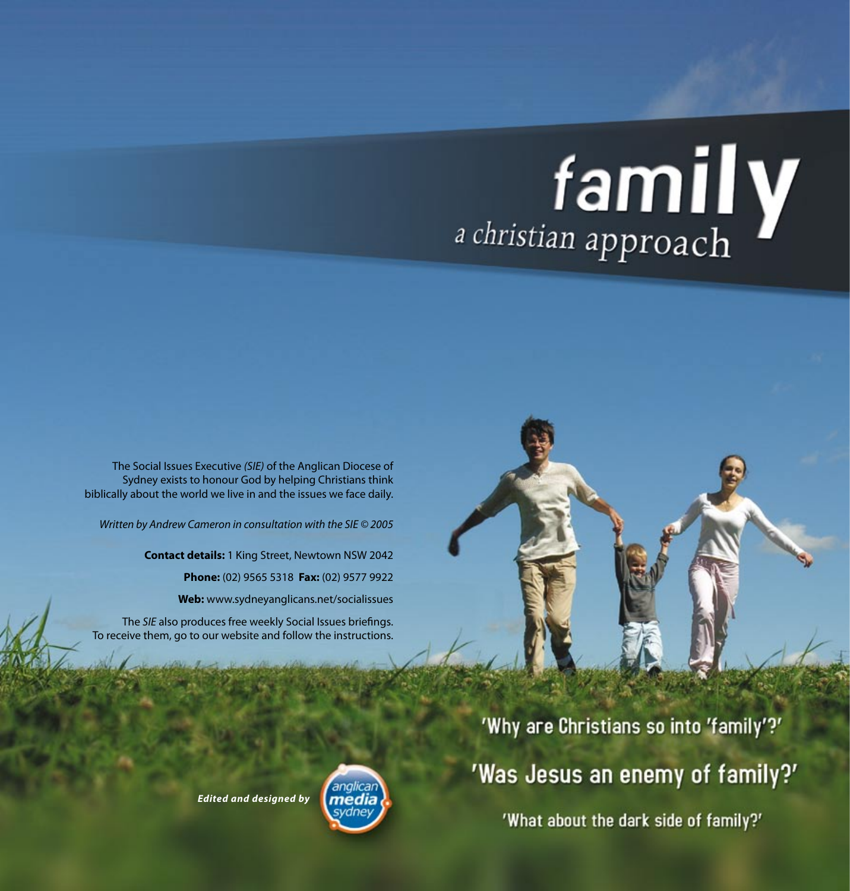# *a christian approach*

The Social Issues Executive *(SIE)* of the Anglican Diocese of Sydney exists to honour God by helping Christians think biblically about the world we live in and the issues we face daily.

*Written by Andrew Cameron in consultation with the SIE © 2005*

**Contact details:** 1 King Street, Newtown NSW 2042 **Phone:** (02) 9565 5318 **Fax:** (02) 9577 9922 **Web:** www.sydneyanglicans.net/socialissues

The *SIE* also produces free weekly Social Issues briefings. To receive them, go to our website and follow the instructions.

*Edited and designed by*



'Why are Christians so into 'family'?' 'Was Jesus an enemy of family?' 'What about the dark side of family?'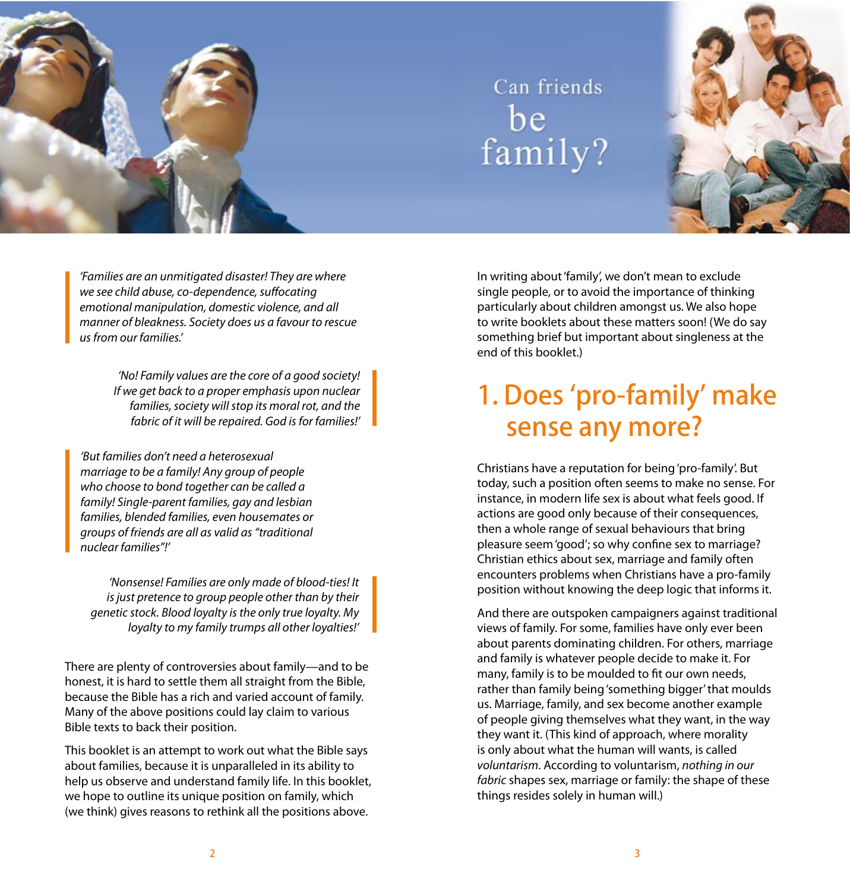

# Can friends be<br>family?



*'Families are an unmitigated disaster! They are where we see child abuse, co-dependence, suffocating emotional manipulation, domestic violence, and all manner of bleakness. Society does us a favour to rescue us from our families.'*

> *'No! Family values are the core of a good society! If we get back to a proper emphasis upon nuclear families, society will stop its moral rot, and the fabric of it will be repaired. God is for families!'*

*'But families don't need a heterosexual marriage to be a family! Any group of people who choose to bond together can be called a family! Single-parent families, gay and lesbian families, blended families, even housemates or groups of friends are all as valid as "traditional nuclear families"!'*

*'Nonsense! Families are only made of blood-ties! It is just pretence to group people other than by their genetic stock. Blood loyalty is the only true loyalty. My loyalty to my family trumps all other loyalties!'*

There are plenty of controversies about family—and to be honest, it is hard to settle them all straight from the Bible, because the Bible has a rich and varied account of family. Many of the above positions could lay claim to various Bible texts to back their position.

This booklet is an attempt to work out what the Bible says about families, because it is unparalleled in its ability to help us observe and understand family life. In this booklet, we hope to outline its unique position on family, which (we think) gives reasons to rethink all the positions above.

In writing about 'family', we don't mean to exclude single people, or to avoid the importance of thinking particularly about children amongst us. We also hope to write booklets about these matters soon! (We do say something brief but important about singleness at the end of this booklet.)

## 1. Does 'pro-family' make sense any more?

Christians have a reputation for being 'pro-family'. But today, such a position often seems to make no sense. For instance, in modern life sex is about what feels good. If actions are good only because of their consequences, then a whole range of sexual behaviours that bring pleasure seem 'good'; so why confine sex to marriage? Christian ethics about sex, marriage and family often encounters problems when Christians have a pro-family position without knowing the deep logic that informs it.

And there are outspoken campaigners against traditional views of family. For some, families have only ever been about parents dominating children. For others, marriage and family is whatever people decide to make it. For many, family is to be moulded to fit our own needs, rather than family being 'something bigger' that moulds us. Marriage, family, and sex become another example of people giving themselves what they want, in the way they want it. (This kind of approach, where morality is only about what the human will wants, is called *voluntarism*. According to voluntarism, *nothing in our fabric* shapes sex, marriage or family: the shape of these things resides solely in human will.)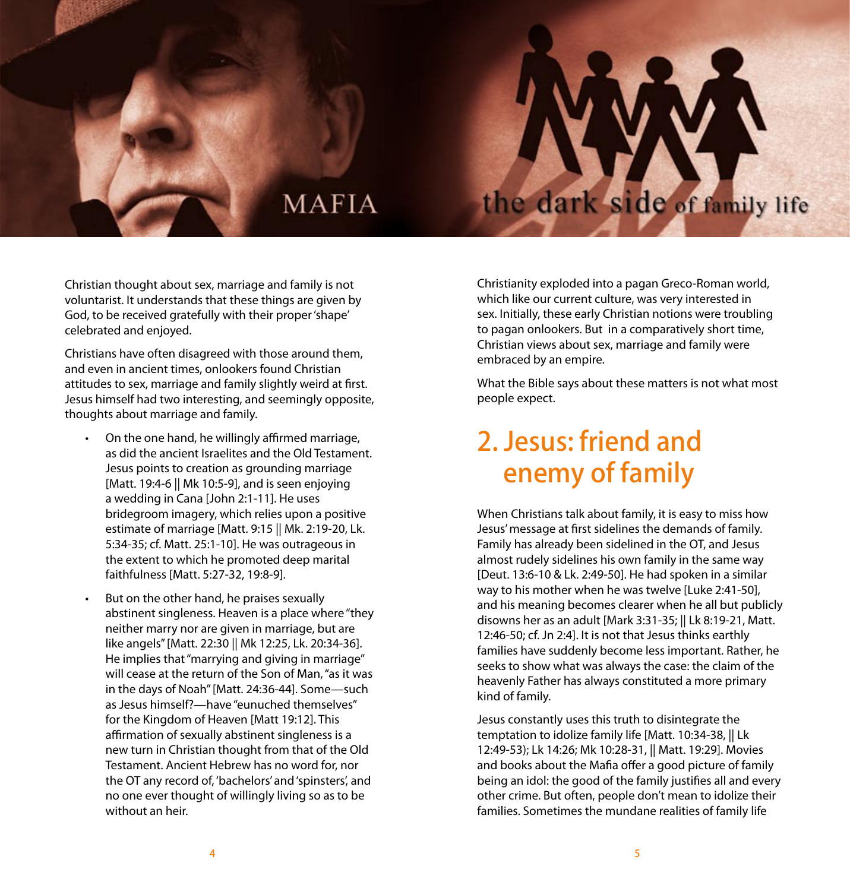## **MAFIA**

Christian thought about sex, marriage and family is not voluntarist. It understands that these things are given by God, to be received gratefully with their proper 'shape' celebrated and enjoyed.

Christians have often disagreed with those around them, and even in ancient times, onlookers found Christian attitudes to sex, marriage and family slightly weird at first. Jesus himself had two interesting, and seemingly opposite, thoughts about marriage and family.

- On the one hand, he willingly affirmed marriage, as did the ancient Israelites and the Old Testament. Jesus points to creation as grounding marriage [Matt. 19:4-6 || Mk 10:5-9], and is seen enjoying a wedding in Cana [John 2:1-11]. He uses bridegroom imagery, which relies upon a positive estimate of marriage [Matt. 9:15 || Mk. 2:19-20, Lk. 5:34-35; cf. Matt. 25:1-10]. He was outrageous in the extent to which he promoted deep marital faithfulness [Matt. 5:27-32, 19:8-9].
- But on the other hand, he praises sexually abstinent singleness. Heaven is a place where "they neither marry nor are given in marriage, but are like angels" [Matt. 22:30 || Mk 12:25, Lk. 20:34-36]. He implies that "marrying and giving in marriage" will cease at the return of the Son of Man, "as it was in the days of Noah" [Matt. 24:36-44]. Some—such as Jesus himself?—have "eunuched themselves" for the Kingdom of Heaven [Matt 19:12]. This affirmation of sexually abstinent singleness is a new turn in Christian thought from that of the Old Testament. Ancient Hebrew has no word for, nor the OT any record of, 'bachelors' and 'spinsters', and no one ever thought of willingly living so as to be without an heir.

Christianity exploded into a pagan Greco-Roman world, which like our current culture, was very interested in sex. Initially, these early Christian notions were troubling to pagan onlookers. But in a comparatively short time, Christian views about sex, marriage and family were embraced by an empire.

the dark side of family life

What the Bible says about these matters is not what most people expect.

## 2. Jesus: friend and enemy of family

When Christians talk about family, it is easy to miss how Jesus' message at first sidelines the demands of family. Family has already been sidelined in the OT, and Jesus almost rudely sidelines his own family in the same way [Deut. 13:6-10 & Lk. 2:49-50]. He had spoken in a similar way to his mother when he was twelve [Luke 2:41-50], and his meaning becomes clearer when he all but publicly disowns her as an adult [Mark 3:31-35; || Lk 8:19-21, Matt. 12:46-50; cf. Jn 2:4]. It is not that Jesus thinks earthly families have suddenly become less important. Rather, he seeks to show what was always the case: the claim of the heavenly Father has always constituted a more primary kind of family.

Jesus constantly uses this truth to disintegrate the temptation to idolize family life [Matt. 10:34-38, || Lk 12:49-53); Lk 14:26; Mk 10:28-31, || Matt. 19:29]. Movies and books about the Mafia offer a good picture of family being an idol: the good of the family justifies all and every other crime. But often, people don't mean to idolize their families. Sometimes the mundane realities of family life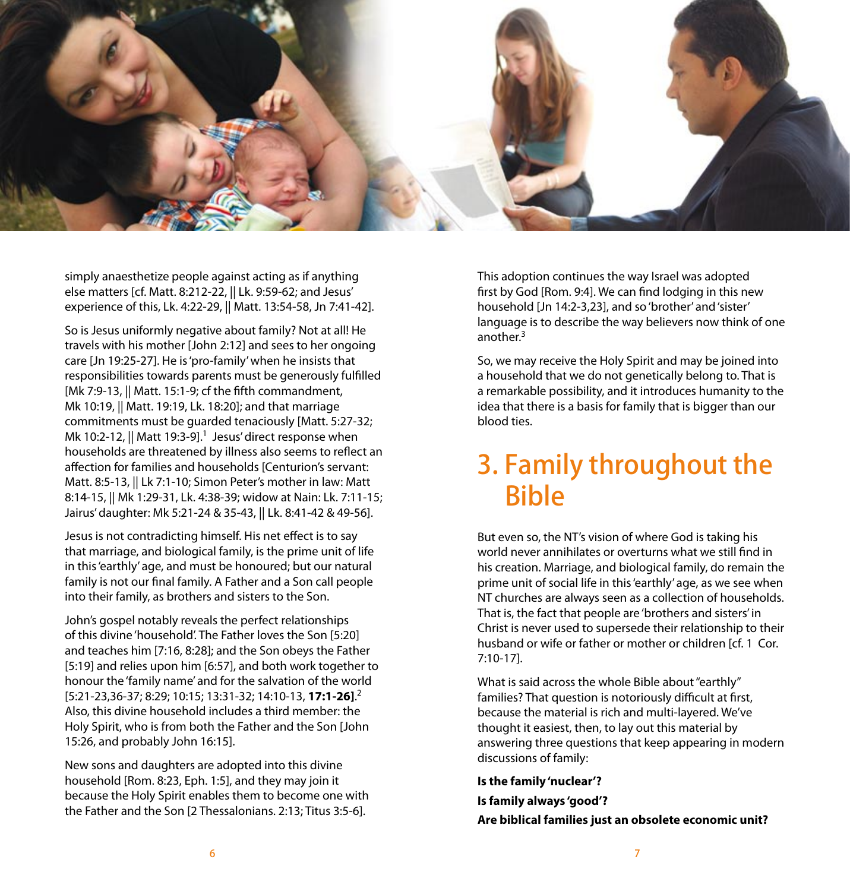

simply anaesthetize people against acting as if anything else matters [cf. Matt. 8:212-22, || Lk. 9:59-62; and Jesus' experience of this, Lk. 4:22-29, || Matt. 13:54-58, Jn 7:41-42].

So is Jesus uniformly negative about family? Not at all! He travels with his mother [John 2:12] and sees to her ongoing care [Jn 19:25-27]. He is 'pro-family' when he insists that responsibilities towards parents must be generously fulfilled [Mk 7:9-13, || Matt. 15:1-9: cf the fifth commandment, Mk 10:19, || Matt. 19:19, Lk. 18:20]; and that marriage commitments must be guarded tenaciously [Matt. 5:27-32; Mk 10:2-12,  $\parallel$  Matt 19:3-9].<sup>1</sup> Jesus' direct response when households are threatened by illness also seems to reflect an affection for families and households [Centurion's servant: Matt. 8:5-13, || Lk 7:1-10; Simon Peter's mother in law: Matt 8:14-15, || Mk 1:29-31, Lk. 4:38-39; widow at Nain: Lk. 7:11-15; Jairus' daughter: Mk 5:21-24 & 35-43, || Lk. 8:41-42 & 49-56].

Jesus is not contradicting himself. His net effect is to say that marriage, and biological family, is the prime unit of life in this 'earthly' age, and must be honoured; but our natural family is not our final family. A Father and a Son call people into their family, as brothers and sisters to the Son.

John's gospel notably reveals the perfect relationships of this divine 'household'. The Father loves the Son [5:20] and teaches him [7:16, 8:28]; and the Son obeys the Father [5:19] and relies upon him [6:57], and both work together to honour the 'family name' and for the salvation of the world [5:21-23,36-37; 8:29; 10:15; 13:31-32; 14:10-13, **17:1-26]**. 2 Also, this divine household includes a third member: the Holy Spirit, who is from both the Father and the Son [John 15:26, and probably John 16:15].

New sons and daughters are adopted into this divine household [Rom. 8:23, Eph. 1:5], and they may join it because the Holy Spirit enables them to become one with the Father and the Son [2 Thessalonians. 2:13; Titus 3:5-6].

This adoption continues the way Israel was adopted first by God [Rom. 9:4]. We can find lodging in this new household [Jn 14:2-3,23], and so 'brother' and 'sister' language is to describe the way believers now think of one another.3

So, we may receive the Holy Spirit and may be joined into a household that we do not genetically belong to. That is a remarkable possibility, and it introduces humanity to the idea that there is a basis for family that is bigger than our blood ties.

## 3. Family throughout the Bible

But even so, the NT's vision of where God is taking his world never annihilates or overturns what we still find in his creation. Marriage, and biological family, do remain the prime unit of social life in this 'earthly' age, as we see when NT churches are always seen as a collection of households. That is, the fact that people are 'brothers and sisters' in Christ is never used to supersede their relationship to their husband or wife or father or mother or children [cf. 1 Cor. 7:10-17].

What is said across the whole Bible about "earthly" families? That question is notoriously difficult at first, because the material is rich and multi-layered. We've thought it easiest, then, to lay out this material by answering three questions that keep appearing in modern discussions of family:

**Is the family 'nuclear'?**

**Is family always 'good'?**

**Are biblical families just an obsolete economic unit?**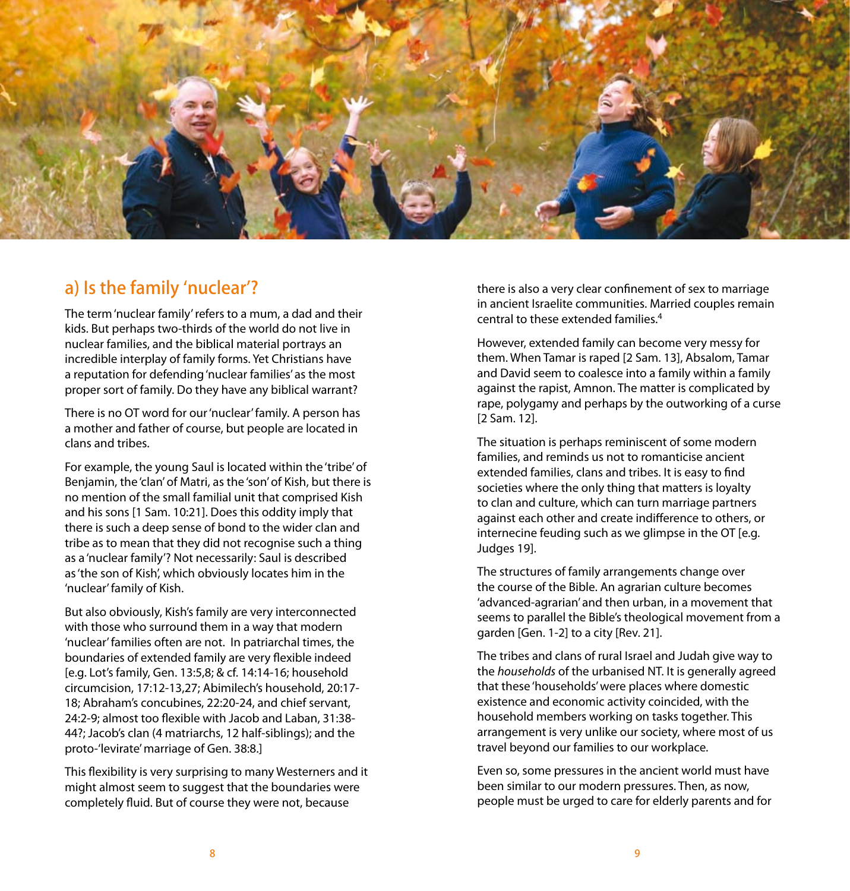

#### a) Is the family 'nuclear'?

The term 'nuclear family' refers to a mum, a dad and their kids. But perhaps two-thirds of the world do not live in nuclear families, and the biblical material portrays an incredible interplay of family forms. Yet Christians have a reputation for defending 'nuclear families' as the most proper sort of family. Do they have any biblical warrant?

There is no OT word for our 'nuclear' family. A person has a mother and father of course, but people are located in clans and tribes.

For example, the young Saul is located within the 'tribe' of Benjamin, the 'clan' of Matri, as the 'son' of Kish, but there is no mention of the small familial unit that comprised Kish and his sons [1 Sam. 10:21]. Does this oddity imply that there is such a deep sense of bond to the wider clan and tribe as to mean that they did not recognise such a thing as a 'nuclear family'? Not necessarily: Saul is described as 'the son of Kish', which obviously locates him in the 'nuclear' family of Kish.

But also obviously, Kish's family are very interconnected with those who surround them in a way that modern 'nuclear' families often are not. In patriarchal times, the boundaries of extended family are very flexible indeed [e.g. Lot's family, Gen. 13:5,8; & cf. 14:14-16; household circumcision, 17:12-13,27; Abimilech's household, 20:17- 18; Abraham's concubines, 22:20-24, and chief servant, 24:2-9; almost too flexible with Jacob and Laban, 31:38- 44?; Jacob's clan (4 matriarchs, 12 half-siblings); and the proto-'levirate' marriage of Gen. 38:8.]

This flexibility is very surprising to many Westerners and it might almost seem to suggest that the boundaries were completely fluid. But of course they were not, because

there is also a very clear confinement of sex to marriage in ancient Israelite communities. Married couples remain central to these extended families.4

However, extended family can become very messy for them. When Tamar is raped [2 Sam. 13], Absalom, Tamar and David seem to coalesce into a family within a family against the rapist, Amnon. The matter is complicated by rape, polygamy and perhaps by the outworking of a curse [2 Sam. 12].

The situation is perhaps reminiscent of some modern families, and reminds us not to romanticise ancient extended families, clans and tribes. It is easy to find societies where the only thing that matters is loyalty to clan and culture, which can turn marriage partners against each other and create indifference to others, or internecine feuding such as we glimpse in the OT [e.g. Judges 19].

The structures of family arrangements change over the course of the Bible. An agrarian culture becomes 'advanced-agrarian' and then urban, in a movement that seems to parallel the Bible's theological movement from a garden [Gen. 1-2] to a city [Rev. 21].

The tribes and clans of rural Israel and Judah give way to the *households* of the urbanised NT. It is generally agreed that these 'households' were places where domestic existence and economic activity coincided, with the household members working on tasks together. This arrangement is very unlike our society, where most of us travel beyond our families to our workplace.

Even so, some pressures in the ancient world must have been similar to our modern pressures. Then, as now, people must be urged to care for elderly parents and for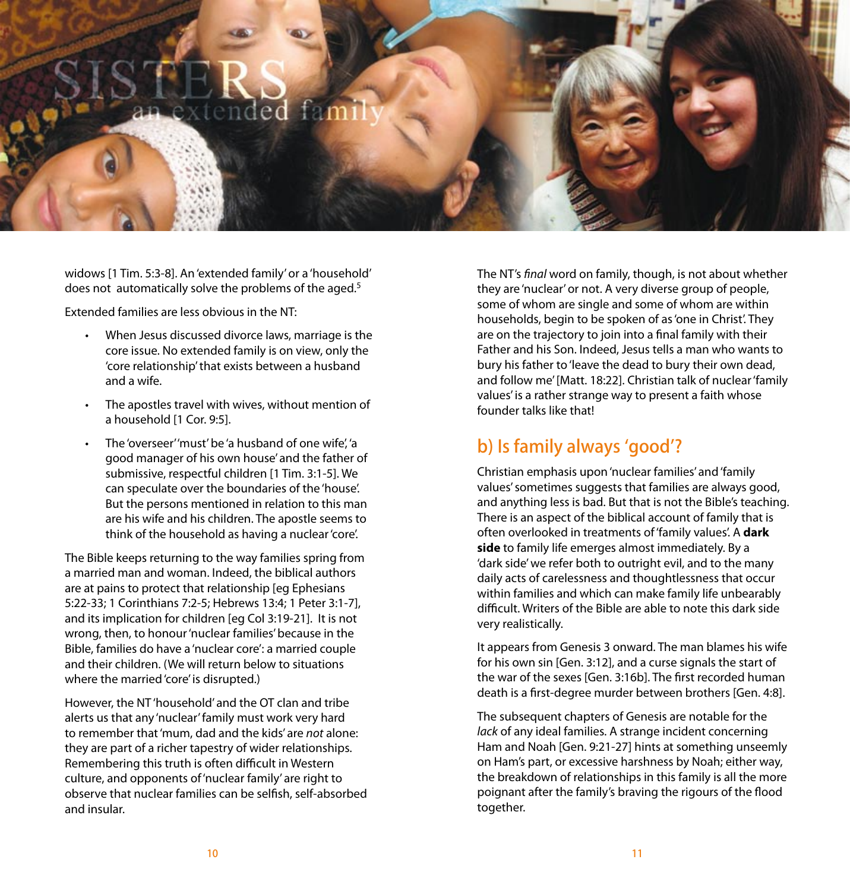# ded fami

widows [1 Tim. 5:3-8]. An 'extended family' or a 'household' does not automatically solve the problems of the aged.<sup>5</sup>

Extended families are less obvious in the NT:

- When Jesus discussed divorce laws, marriage is the core issue. No extended family is on view, only the 'core relationship' that exists between a husband and a wife.
- The apostles travel with wives, without mention of a household [1 Cor. 9:5].
- The 'overseer' 'must' be 'a husband of one wife', 'a good manager of his own house' and the father of submissive, respectful children [1 Tim. 3:1-5]. We can speculate over the boundaries of the 'house'. But the persons mentioned in relation to this man are his wife and his children. The apostle seems to think of the household as having a nuclear 'core'.

The Bible keeps returning to the way families spring from a married man and woman. Indeed, the biblical authors are at pains to protect that relationship [eg Ephesians 5:22-33; 1 Corinthians 7:2-5; Hebrews 13:4; 1 Peter 3:1-7], and its implication for children [eg Col 3:19-21]. It is not wrong, then, to honour 'nuclear families' because in the Bible, families do have a 'nuclear core': a married couple and their children. (We will return below to situations where the married 'core' is disrupted.)

However, the NT 'household' and the OT clan and tribe alerts us that any 'nuclear' family must work very hard to remember that 'mum, dad and the kids' are *not* alone: they are part of a richer tapestry of wider relationships. Remembering this truth is often difficult in Western culture, and opponents of 'nuclear family' are right to observe that nuclear families can be selfish, self-absorbed and insular.

The NT's *final* word on family, though, is not about whether they are 'nuclear' or not. A very diverse group of people, some of whom are single and some of whom are within households, begin to be spoken of as 'one in Christ'. They are on the trajectory to join into a final family with their Father and his Son. Indeed, Jesus tells a man who wants to bury his father to 'leave the dead to bury their own dead, and follow me' [Matt. 18:22]. Christian talk of nuclear 'family values' is a rather strange way to present a faith whose founder talks like that!

## b) Is family always 'good'?

Christian emphasis upon 'nuclear families' and 'family values' sometimes suggests that families are always good, and anything less is bad. But that is not the Bible's teaching. There is an aspect of the biblical account of family that is often overlooked in treatments of 'family values'. A **dark side** to family life emerges almost immediately. By a 'dark side' we refer both to outright evil, and to the many daily acts of carelessness and thoughtlessness that occur within families and which can make family life unbearably difficult. Writers of the Bible are able to note this dark side very realistically.

It appears from Genesis 3 onward. The man blames his wife for his own sin [Gen. 3:12], and a curse signals the start of the war of the sexes [Gen. 3:16b]. The first recorded human death is a first-degree murder between brothers [Gen. 4:8].

The subsequent chapters of Genesis are notable for the *lack* of any ideal families. A strange incident concerning Ham and Noah [Gen. 9:21-27] hints at something unseemly on Ham's part, or excessive harshness by Noah; either way, the breakdown of relationships in this family is all the more poignant after the family's braving the rigours of the flood together.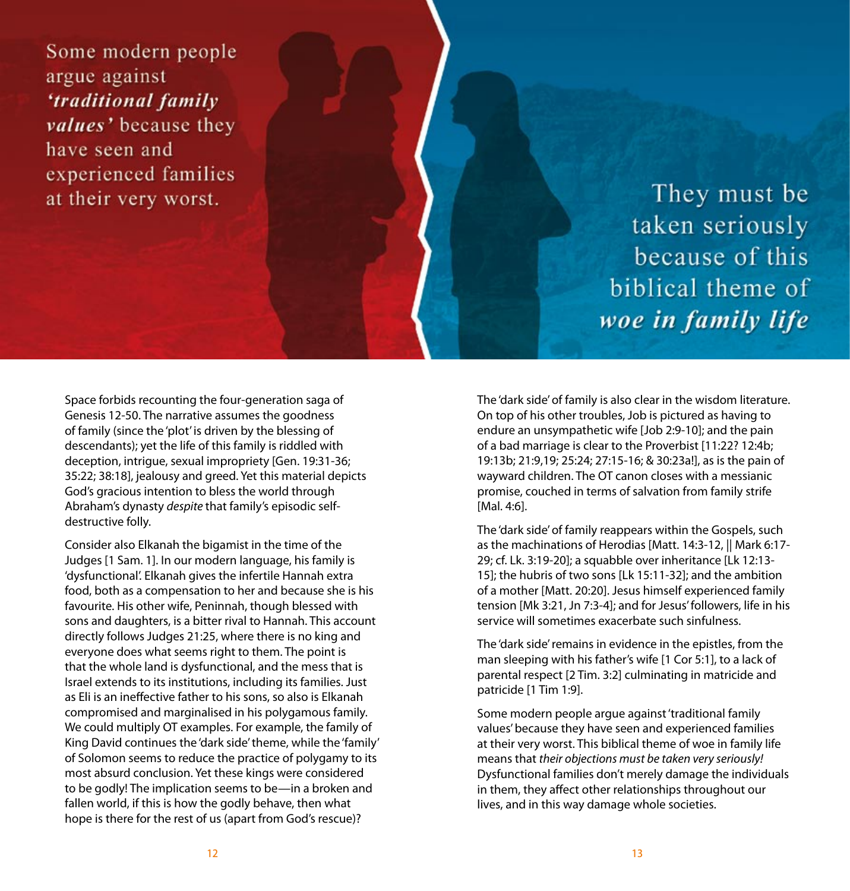Some modern people argue against 'traditional family values' because they have seen and experienced families at their very worst.

They must be taken seriously because of this biblical theme of woe in family life

Space forbids recounting the four-generation saga of Genesis 12-50. The narrative assumes the goodness of family (since the 'plot' is driven by the blessing of descendants); yet the life of this family is riddled with deception, intrigue, sexual impropriety [Gen. 19:31-36; 35:22; 38:18], jealousy and greed. Yet this material depicts God's gracious intention to bless the world through Abraham's dynasty *despite* that family's episodic selfdestructive folly.

Consider also Elkanah the bigamist in the time of the Judges [1 Sam. 1]. In our modern language, his family is 'dysfunctional'. Elkanah gives the infertile Hannah extra food, both as a compensation to her and because she is his favourite. His other wife, Peninnah, though blessed with sons and daughters, is a bitter rival to Hannah. This account directly follows Judges 21:25, where there is no king and everyone does what seems right to them. The point is that the whole land is dysfunctional, and the mess that is Israel extends to its institutions, including its families. Just as Eli is an ineffective father to his sons, so also is Elkanah compromised and marginalised in his polygamous family. We could multiply OT examples. For example, the family of King David continues the 'dark side' theme, while the 'family' of Solomon seems to reduce the practice of polygamy to its most absurd conclusion. Yet these kings were considered to be godly! The implication seems to be—in a broken and fallen world, if this is how the godly behave, then what hope is there for the rest of us (apart from God's rescue)?

The 'dark side' of family is also clear in the wisdom literature. On top of his other troubles, Job is pictured as having to endure an unsympathetic wife [Job 2:9-10]; and the pain of a bad marriage is clear to the Proverbist [11:22? 12:4b; 19:13b; 21:9,19; 25:24; 27:15-16; & 30:23a!], as is the pain of wayward children. The OT canon closes with a messianic promise, couched in terms of salvation from family strife [Mal. 4:6].

The 'dark side' of family reappears within the Gospels, such as the machinations of Herodias [Matt. 14:3-12, || Mark 6:17- 29; cf. Lk. 3:19-20]; a squabble over inheritance [Lk 12:13- 15]; the hubris of two sons [Lk 15:11-32]; and the ambition of a mother [Matt. 20:20]. Jesus himself experienced family tension [Mk 3:21, Jn 7:3-4]; and for Jesus' followers, life in his service will sometimes exacerbate such sinfulness.

The 'dark side' remains in evidence in the epistles, from the man sleeping with his father's wife [1 Cor 5:1], to a lack of parental respect [2 Tim. 3:2] culminating in matricide and patricide [1 Tim 1:9].

Some modern people argue against 'traditional family values' because they have seen and experienced families at their very worst. This biblical theme of woe in family life means that *their objections must be taken very seriously!* Dysfunctional families don't merely damage the individuals in them, they affect other relationships throughout our lives, and in this way damage whole societies.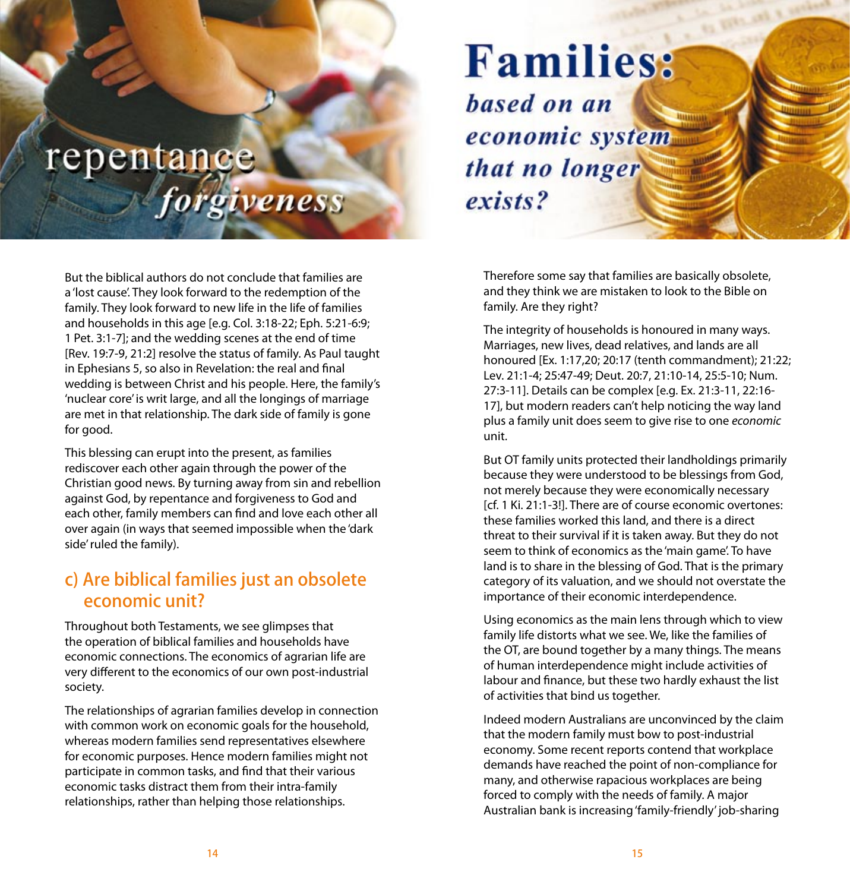# repentance forgiveness

But the biblical authors do not conclude that families are a 'lost cause'. They look forward to the redemption of the family. They look forward to new life in the life of families and households in this age [e.g. Col. 3:18-22; Eph. 5:21-6:9; 1 Pet. 3:1-7]; and the wedding scenes at the end of time [Rev. 19:7-9, 21:2] resolve the status of family. As Paul taught in Ephesians 5, so also in Revelation: the real and final wedding is between Christ and his people. Here, the family's 'nuclear core' is writ large, and all the longings of marriage are met in that relationship. The dark side of family is gone for good.

This blessing can erupt into the present, as families rediscover each other again through the power of the Christian good news. By turning away from sin and rebellion against God, by repentance and forgiveness to God and each other, family members can find and love each other all over again (in ways that seemed impossible when the 'dark side' ruled the family).

### c) Are biblical families just an obsolete economic unit?

Throughout both Testaments, we see glimpses that the operation of biblical families and households have economic connections. The economics of agrarian life are very different to the economics of our own post-industrial society.

The relationships of agrarian families develop in connection with common work on economic goals for the household. whereas modern families send representatives elsewhere for economic purposes. Hence modern families might not participate in common tasks, and find that their various economic tasks distract them from their intra-family relationships, rather than helping those relationships.

**Families:** based on an economic system that no longer exists?

Therefore some say that families are basically obsolete, and they think we are mistaken to look to the Bible on family. Are they right?

The integrity of households is honoured in many ways. Marriages, new lives, dead relatives, and lands are all honoured [Ex. 1:17,20; 20:17 (tenth commandment); 21:22; Lev. 21:1-4; 25:47-49; Deut. 20:7, 21:10-14, 25:5-10; Num. 27:3-11]. Details can be complex [e.g. Ex. 21:3-11, 22:16- 17], but modern readers can't help noticing the way land plus a family unit does seem to give rise to one *economic*  unit.

But OT family units protected their landholdings primarily because they were understood to be blessings from God, not merely because they were economically necessary [cf. 1 Ki. 21:1-3!]. There are of course economic overtones: these families worked this land, and there is a direct threat to their survival if it is taken away. But they do not seem to think of economics as the 'main game'. To have land is to share in the blessing of God. That is the primary category of its valuation, and we should not overstate the importance of their economic interdependence.

Using economics as the main lens through which to view family life distorts what we see. We, like the families of the OT, are bound together by a many things. The means of human interdependence might include activities of labour and finance, but these two hardly exhaust the list of activities that bind us together.

Indeed modern Australians are unconvinced by the claim that the modern family must bow to post-industrial economy. Some recent reports contend that workplace demands have reached the point of non-compliance for many, and otherwise rapacious workplaces are being forced to comply with the needs of family. A major Australian bank is increasing 'family-friendly' job-sharing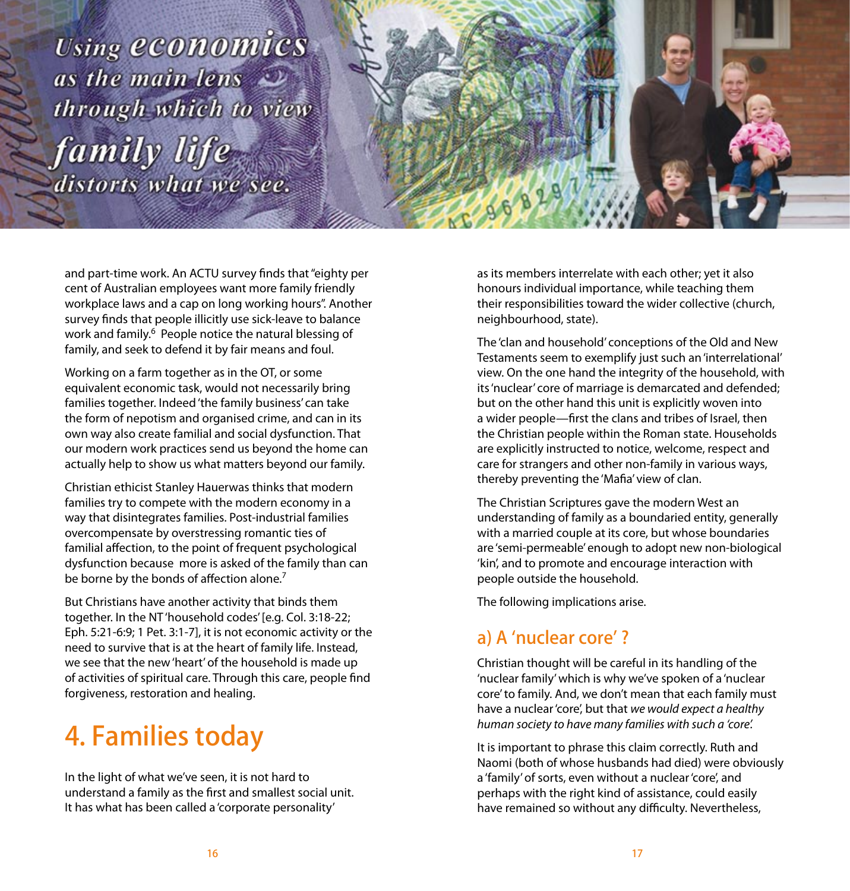Using economics as the main lens  $\mathcal{D}$ through which to view family life distorts what we see.



and part-time work. An ACTU survey finds that "eighty per cent of Australian employees want more family friendly workplace laws and a cap on long working hours". Another survey finds that people illicitly use sick-leave to balance work and family.<sup>6</sup> People notice the natural blessing of family, and seek to defend it by fair means and foul.

Working on a farm together as in the OT, or some equivalent economic task, would not necessarily bring families together. Indeed 'the family business' can take the form of nepotism and organised crime, and can in its own way also create familial and social dysfunction. That our modern work practices send us beyond the home can actually help to show us what matters beyond our family.

Christian ethicist Stanley Hauerwas thinks that modern families try to compete with the modern economy in a way that disintegrates families. Post-industrial families overcompensate by overstressing romantic ties of familial affection, to the point of frequent psychological dysfunction because more is asked of the family than can be borne by the bonds of affection alone.<sup>7</sup>

But Christians have another activity that binds them together. In the NT 'household codes' [e.g. Col. 3:18-22; Eph. 5:21-6:9; 1 Pet. 3:1-7], it is not economic activity or the need to survive that is at the heart of family life. Instead, we see that the new 'heart' of the household is made up of activities of spiritual care. Through this care, people find forgiveness, restoration and healing.

# 4. Families today

In the light of what we've seen, it is not hard to understand a family as the first and smallest social unit. It has what has been called a 'corporate personality'

as its members interrelate with each other; yet it also honours individual importance, while teaching them their responsibilities toward the wider collective (church, neighbourhood, state).

The 'clan and household' conceptions of the Old and New Testaments seem to exemplify just such an 'interrelational' view. On the one hand the integrity of the household, with its 'nuclear' core of marriage is demarcated and defended; but on the other hand this unit is explicitly woven into a wider people—first the clans and tribes of Israel, then the Christian people within the Roman state. Households are explicitly instructed to notice, welcome, respect and care for strangers and other non-family in various ways, thereby preventing the 'Mafia' view of clan.

The Christian Scriptures gave the modern West an understanding of family as a boundaried entity, generally with a married couple at its core, but whose boundaries are 'semi-permeable' enough to adopt new non-biological 'kin', and to promote and encourage interaction with people outside the household.

The following implications arise.

## a) A 'nuclear core' ?

Christian thought will be careful in its handling of the 'nuclear family' which is why we've spoken of a 'nuclear core' to family. And, we don't mean that each family must have a nuclear 'core', but that *we would expect a healthy human society to have many families with such a 'core'.*

It is important to phrase this claim correctly. Ruth and Naomi (both of whose husbands had died) were obviously a 'family' of sorts, even without a nuclear 'core', and perhaps with the right kind of assistance, could easily have remained so without any difficulty. Nevertheless,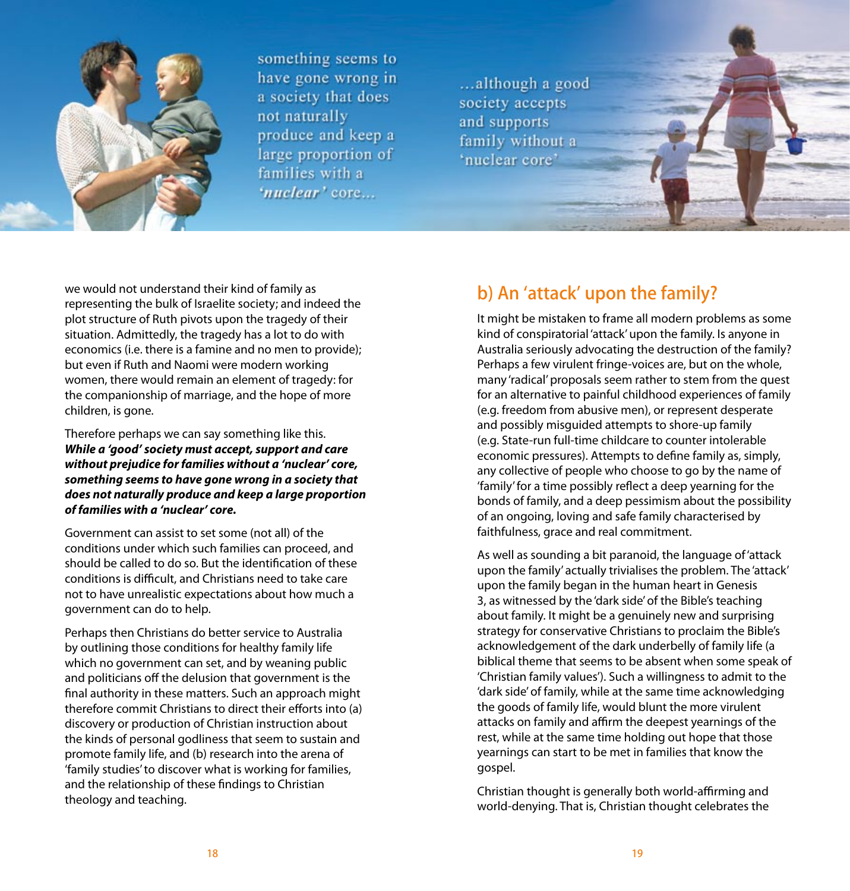

something seems to have gone wrong in a society that does not naturally produce and keep a large proportion of families with a 'nuclear' core...

... although a good society accepts and supports family without a 'nuclear core'

we would not understand their kind of family as representing the bulk of Israelite society; and indeed the plot structure of Ruth pivots upon the tragedy of their situation. Admittedly, the tragedy has a lot to do with economics (i.e. there is a famine and no men to provide); but even if Ruth and Naomi were modern working women, there would remain an element of tragedy: for the companionship of marriage, and the hope of more children, is gone.

Therefore perhaps we can say something like this. *While a 'good' society must accept, support and care without prejudice for families without a 'nuclear' core, something seems to have gone wrong in a society that does not naturally produce and keep a large proportion of families with a 'nuclear' core.* 

Government can assist to set some (not all) of the conditions under which such families can proceed, and should be called to do so. But the identification of these conditions is difficult, and Christians need to take care not to have unrealistic expectations about how much a government can do to help.

Perhaps then Christians do better service to Australia by outlining those conditions for healthy family life which no government can set, and by weaning public and politicians off the delusion that government is the final authority in these matters. Such an approach might therefore commit Christians to direct their efforts into (a) discovery or production of Christian instruction about the kinds of personal godliness that seem to sustain and promote family life, and (b) research into the arena of 'family studies' to discover what is working for families, and the relationship of these findings to Christian theology and teaching.

### b) An 'attack' upon the family?

It might be mistaken to frame all modern problems as some kind of conspiratorial 'attack' upon the family. Is anyone in Australia seriously advocating the destruction of the family? Perhaps a few virulent fringe-voices are, but on the whole, many 'radical' proposals seem rather to stem from the quest for an alternative to painful childhood experiences of family (e.g. freedom from abusive men), or represent desperate and possibly misguided attempts to shore-up family (e.g. State-run full-time childcare to counter intolerable economic pressures). Attempts to define family as, simply, any collective of people who choose to go by the name of 'family' for a time possibly reflect a deep yearning for the bonds of family, and a deep pessimism about the possibility of an ongoing, loving and safe family characterised by faithfulness, grace and real commitment.

As well as sounding a bit paranoid, the language of 'attack upon the family' actually trivialises the problem. The 'attack' upon the family began in the human heart in Genesis 3, as witnessed by the 'dark side' of the Bible's teaching about family. It might be a genuinely new and surprising strategy for conservative Christians to proclaim the Bible's acknowledgement of the dark underbelly of family life (a biblical theme that seems to be absent when some speak of 'Christian family values'). Such a willingness to admit to the 'dark side' of family, while at the same time acknowledging the goods of family life, would blunt the more virulent attacks on family and affirm the deepest yearnings of the rest, while at the same time holding out hope that those yearnings can start to be met in families that know the gospel.

Christian thought is generally both world-affirming and world-denying. That is, Christian thought celebrates the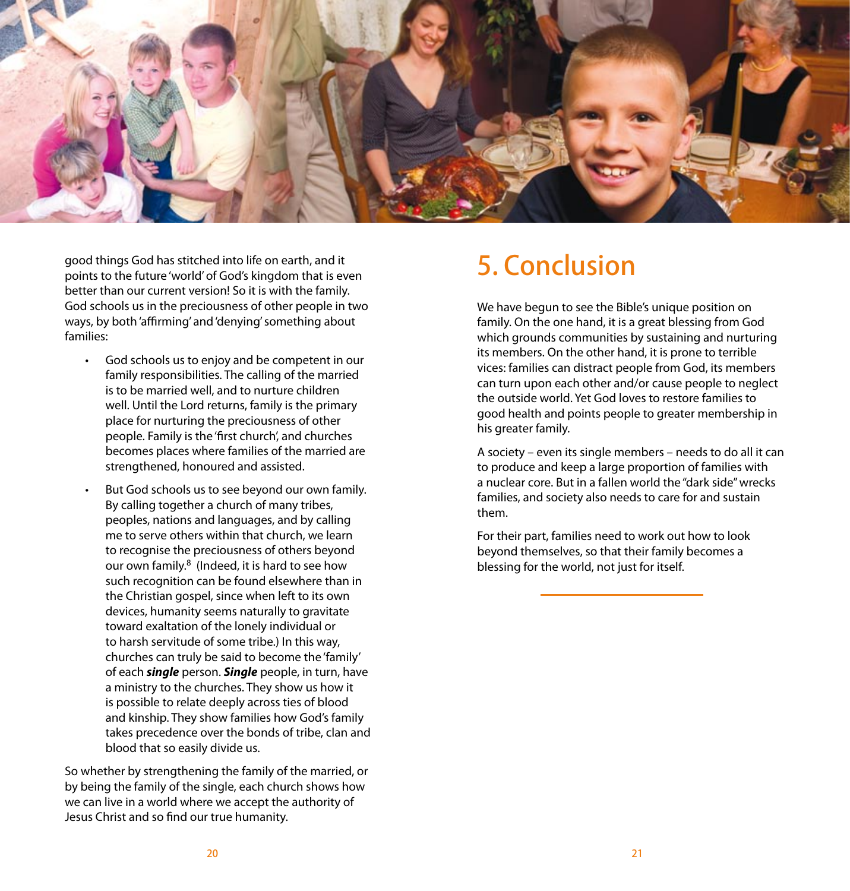

good things God has stitched into life on earth, and it points to the future 'world' of God's kingdom that is even better than our current version! So it is with the family. God schools us in the preciousness of other people in two ways, by both 'affirming' and 'denying' something about families:

- God schools us to enjoy and be competent in our family responsibilities. The calling of the married is to be married well, and to nurture children well. Until the Lord returns, family is the primary place for nurturing the preciousness of other people. Family is the 'first church', and churches becomes places where families of the married are strengthened, honoured and assisted.
- But God schools us to see beyond our own family. By calling together a church of many tribes, peoples, nations and languages, and by calling me to serve others within that church, we learn to recognise the preciousness of others beyond our own family.8 (Indeed, it is hard to see how such recognition can be found elsewhere than in the Christian gospel, since when left to its own devices, humanity seems naturally to gravitate toward exaltation of the lonely individual or to harsh servitude of some tribe.) In this way, churches can truly be said to become the 'family' of each *single* person. *Single* people, in turn, have a ministry to the churches. They show us how it is possible to relate deeply across ties of blood and kinship. They show families how God's family takes precedence over the bonds of tribe, clan and blood that so easily divide us.

So whether by strengthening the family of the married, or by being the family of the single, each church shows how we can live in a world where we accept the authority of Jesus Christ and so find our true humanity.

## 5. Conclusion

We have begun to see the Bible's unique position on family. On the one hand, it is a great blessing from God which grounds communities by sustaining and nurturing its members. On the other hand, it is prone to terrible vices: families can distract people from God, its members can turn upon each other and/or cause people to neglect the outside world. Yet God loves to restore families to good health and points people to greater membership in his greater family.

A society – even its single members – needs to do all it can to produce and keep a large proportion of families with a nuclear core. But in a fallen world the "dark side" wrecks families, and society also needs to care for and sustain them.

For their part, families need to work out how to look beyond themselves, so that their family becomes a blessing for the world, not just for itself.